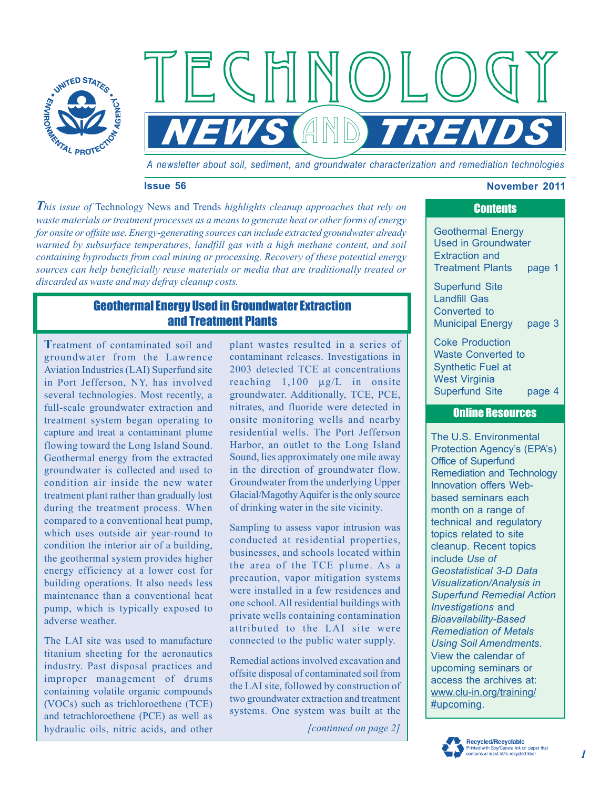

*A newsletter about soil, sediment, and groundwater characterization and remediation technologies* 

 $\parallel \parallel \parallel \parallel$ 

 $AND$ 

### **Issue 56** November 2011

*This issue of* Technology News and Trends *highlights cleanup approaches that rely on waste materials or treatment processes as a means to generate heat or other forms of energy for onsite or offsite use. Energy-generating sources can include extracted groundwater already warmed by subsurface temperatures, landfill gas with a high methane content, and soil containing byproducts from coal mining or processing. Recovery of these potential energy sources can help beneficially reuse materials or media that are traditionally treated or discarded as waste and may defray cleanup costs.* 

ECHI

# Geothermal Energy Used in Groundwater Extraction and Treatment Plants

**T**reatment of contaminated soil and groundwater from the Lawrence Aviation Industries (LAI) Superfund site in Port Jefferson, NY, has involved several technologies. Most recently, a full-scale groundwater extraction and treatment system began operating to capture and treat a contaminant plume flowing toward the Long Island Sound. Geothermal energy from the extracted groundwater is collected and used to condition air inside the new water treatment plant rather than gradually lost during the treatment process. When compared to a conventional heat pump, which uses outside air year-round to condition the interior air of a building, the geothermal system provides higher energy efficiency at a lower cost for building operations. It also needs less maintenance than a conventional heat pump, which is typically exposed to adverse weather.

The LAI site was used to manufacture titanium sheeting for the aeronautics industry. Past disposal practices and improper management of drums containing volatile organic compounds (VOCs) such as trichloroethene (TCE) and tetrachloroethene (PCE) as well as hydraulic oils, nitric acids, and other

plant wastes resulted in a series of contaminant releases. Investigations in 2003 detected TCE at concentrations reaching 1,100 μg/L in onsite groundwater. Additionally, TCE, PCE, nitrates, and fluoride were detected in onsite monitoring wells and nearby residential wells. The Port Jefferson Harbor, an outlet to the Long Island Sound, lies approximately one mile away in the direction of groundwater flow. Groundwater from the underlying Upper Glacial/Magothy Aquifer is the only source of drinking water in the site vicinity.

Sampling to assess vapor intrusion was conducted at residential properties, businesses, and schools located within the area of the TCE plume. As a precaution, vapor mitigation systems were installed in a few residences and one school. All residential buildings with private wells containing contamination attributed to the LAI site were connected to the public water supply.

Remedial actions involved excavation and offsite disposal of contaminated soil from the LAI site, followed by construction of two groundwater extraction and treatment systems. One system was built at the

*[continued on page 2]* 

# **Contents**

Geothermal Energy Used in Groundwater Extraction and Treatment Plants page 1

Superfund Site Landfill Gas Converted to [Municipal Energy page 3](#page-2-0) 

Coke Production Waste Converted to Synthetic Fuel at West Virginia Superfund Site page 4

## Online Resources

The U.S. Environmental Protection Agency's (EPA's) Office of Superfund Remediation and Technology Innovation offers Webbased seminars each month on a range of technical and regulatory topics related to site cleanup. Recent topics include *Use of Geostatistical 3-D Data Visualization/Analysis in Superfund Remedial Action Investigations* and *Bioavailability-Based Remediation of Metals Using Soil Amendments*. View the calendar of upcoming seminars or access the archives at: [www.clu-in.org/training/](http://www.clu-in.org/training/#upcoming)  #upcoming.

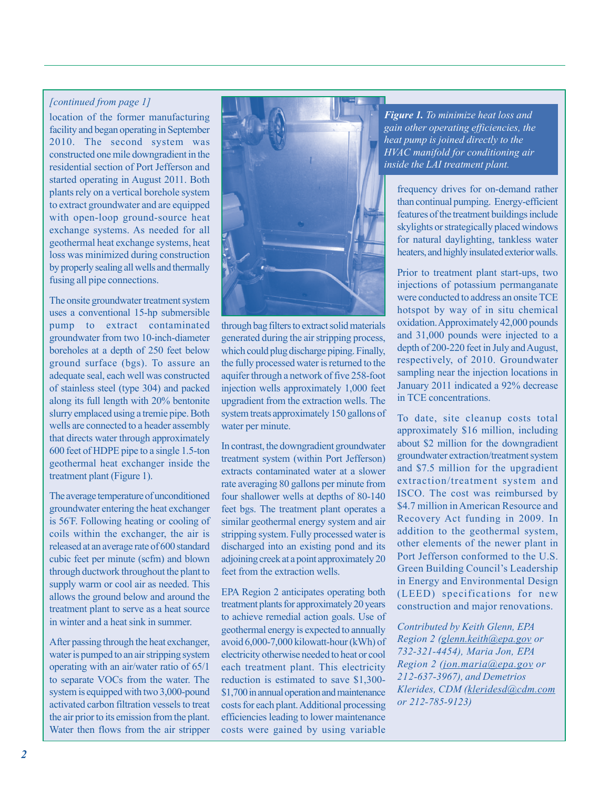## *[continued from page 1]*

location of the former manufacturing facility and began operating in September 2010. The second system was constructed one mile downgradient in the residential section of Port Jefferson and started operating in August 2011. Both plants rely on a vertical borehole system to extract groundwater and are equipped with open-loop ground-source heat exchange systems. As needed for all geothermal heat exchange systems, heat loss was minimized during construction by properly sealing all wells and thermally fusing all pipe connections.

The onsite groundwater treatment system uses a conventional 15-hp submersible pump to extract contaminated groundwater from two 10-inch-diameter boreholes at a depth of 250 feet below ground surface (bgs). To assure an adequate seal, each well was constructed of stainless steel (type 304) and packed along its full length with 20% bentonite slurry emplaced using a tremie pipe. Both wells are connected to a header assembly that directs water through approximately 600 feet of HDPE pipe to a single 1.5-ton geothermal heat exchanger inside the treatment plant (Figure 1).

The average temperature of unconditioned groundwater entering the heat exchanger is 56º F. Following heating or cooling of coils within the exchanger, the air is released at an average rate of 600 standard cubic feet per minute (scfm) and blown through ductwork throughout the plant to supply warm or cool air as needed. This allows the ground below and around the treatment plant to serve as a heat source in winter and a heat sink in summer.

After passing through the heat exchanger, water is pumped to an air stripping system operating with an air/water ratio of 65/1 to separate VOCs from the water. The system is equipped with two 3,000-pound activated carbon filtration vessels to treat the air prior to its emission from the plant. Water then flows from the air stripper



through bag filters to extract solid materials generated during the air stripping process, which could plug discharge piping. Finally, the fully processed water is returned to the aquifer through a network of five 258-foot injection wells approximately 1,000 feet upgradient from the extraction wells. The system treats approximately 150 gallons of water per minute.

In contrast, the downgradient groundwater treatment system (within Port Jefferson) extracts contaminated water at a slower rate averaging 80 gallons per minute from four shallower wells at depths of 80-140 feet bgs. The treatment plant operates a similar geothermal energy system and air stripping system. Fully processed water is discharged into an existing pond and its adjoining creek at a point approximately 20 feet from the extraction wells.

EPA Region 2 anticipates operating both treatment plants for approximately 20 years to achieve remedial action goals. Use of geothermal energy is expected to annually avoid 6,000-7,000 kilowatt-hour (kWh) of electricity otherwise needed to heat or cool each treatment plant. This electricity reduction is estimated to save \$1,300 \$1,700 in annual operation and maintenance costs for each plant. Additional processing efficiencies leading to lower maintenance costs were gained by using variable

*Figure 1. To minimize heat loss and gain other operating efficiencies, the heat pump is joined directly to the HVAC manifold for conditioning air inside the LAI treatment plant.* 

frequency drives for on-demand rather than continual pumping. Energy-efficient features of the treatment buildings include skylights or strategically placed windows for natural daylighting, tankless water heaters, and highly insulated exterior walls.

Prior to treatment plant start-ups, two injections of potassium permanganate were conducted to address an onsite TCE hotspot by way of in situ chemical oxidation. Approximately 42,000 pounds and 31,000 pounds were injected to a depth of 200-220 feet in July and August, respectively, of 2010. Groundwater sampling near the injection locations in January 2011 indicated a 92% decrease in TCE concentrations.

To date, site cleanup costs total approximately \$16 million, including about \$2 million for the downgradient groundwater extraction/treatment system and \$7.5 million for the upgradient extraction/treatment system and ISCO. The cost was reimbursed by \$4.7 million in American Resource and Recovery Act funding in 2009. In addition to the geothermal system, other elements of the newer plant in Port Jefferson conformed to the U.S. Green Building Council's Leadership in Energy and Environmental Design (LEED) specifications for new construction and major renovations.

*Contributed by Keith Glenn, EPA Region 2 [\(glenn.keith@epa.gov](mailto:glenn.keith@epa.gov) or 732-321-4454), Maria Jon, EPA Region 2 [\(jon.maria@epa.gov o](mailto:jon.maria@epa.gov)r 212-637-3967), and Demetrios Klerides, CDM [\(kleridesd@cdm.com](mailto:kleridesd@cdm.com)  or 212-785-9123)*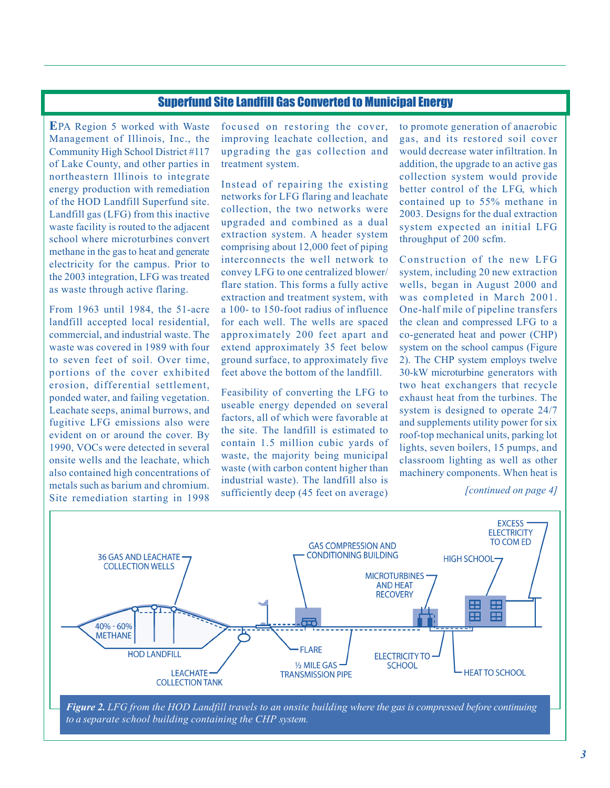# Superfund Site Landfill Gas Converted to Municipal Energy

<span id="page-2-0"></span>**E**PA Region 5 worked with Waste Management of Illinois, Inc., the Community High School District #117 of Lake County, and other parties in northeastern Illinois to integrate energy production with remediation of the HOD Landfill Superfund site. Landfill gas (LFG) from this inactive waste facility is routed to the adjacent school where microturbines convert methane in the gas to heat and generate electricity for the campus. Prior to the 2003 integration, LFG was treated as waste through active flaring.

From 1963 until 1984, the 51-acre landfill accepted local residential, commercial, and industrial waste. The waste was covered in 1989 with four to seven feet of soil. Over time, portions of the cover exhibited erosion, differential settlement, ponded water, and failing vegetation. Leachate seeps, animal burrows, and fugitive LFG emissions also were evident on or around the cover. By 1990, VOCs were detected in several onsite wells and the leachate, which also contained high concentrations of metals such as barium and chromium. Site remediation starting in 1998

focused on restoring the cover, improving leachate collection, and upgrading the gas collection and treatment system.

Instead of repairing the existing networks for LFG flaring and leachate collection, the two networks were upgraded and combined as a dual extraction system. A header system comprising about 12,000 feet of piping interconnects the well network to convey LFG to one centralized blower/ flare station. This forms a fully active extraction and treatment system, with a 100- to 150-foot radius of influence for each well. The wells are spaced approximately 200 feet apart and extend approximately 35 feet below ground surface, to approximately five feet above the bottom of the landfill.

Feasibility of converting the LFG to useable energy depended on several factors, all of which were favorable at the site. The landfill is estimated to contain 1.5 million cubic yards of waste, the majority being municipal waste (with carbon content higher than industrial waste). The landfill also is sufficiently deep (45 feet on average) to promote generation of anaerobic gas, and its restored soil cover would decrease water infiltration. In addition, the upgrade to an active gas collection system would provide better control of the LFG, which contained up to 55% methane in 2003. Designs for the dual extraction system expected an initial LFG throughput of 200 scfm.

Construction of the new LFG system, including 20 new extraction wells, began in August 2000 and was completed in March 2001. One-half mile of pipeline transfers the clean and compressed LFG to a co-generated heat and power (CHP) system on the school campus (Figure 2). The CHP system employs twelve 30-kW microturbine generators with two heat exchangers that recycle exhaust heat from the turbines. The system is designed to operate 24/7 and supplements utility power for six roof-top mechanical units, parking lot lights, seven boilers, 15 pumps, and classroom lighting as well as other machinery components. When heat is

*[continued on page 4]* 



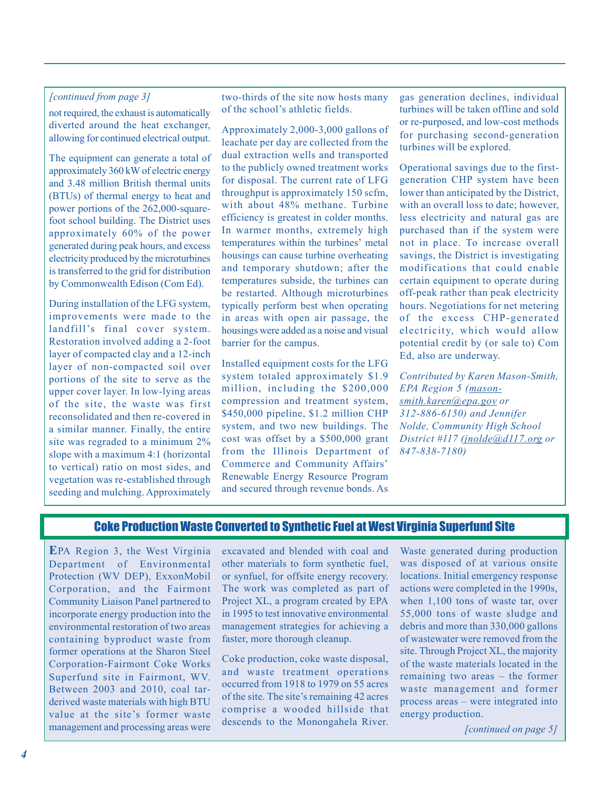## <span id="page-3-0"></span>*[continued from page 3]*

not required, the exhaust is automatically diverted around the heat exchanger, allowing for continued electrical output.

The equipment can generate a total of approximately 360 kW of electric energy and 3.48 million British thermal units (BTUs) of thermal energy to heat and power portions of the 262,000-squarefoot school building. The District uses approximately 60% of the power generated during peak hours, and excess electricity produced by the microturbines is transferred to the grid for distribution by Commonwealth Edison (Com Ed).

During installation of the LFG system, improvements were made to the landfill's final cover system. Restoration involved adding a 2-foot layer of compacted clay and a 12-inch layer of non-compacted soil over portions of the site to serve as the upper cover layer. In low-lying areas of the site, the waste was first reconsolidated and then re-covered in a similar manner. Finally, the entire site was regraded to a minimum 2% slope with a maximum 4:1 (horizontal to vertical) ratio on most sides, and vegetation was re-established through seeding and mulching. Approximately

two-thirds of the site now hosts many of the school's athletic fields.

Approximately 2,000-3,000 gallons of leachate per day are collected from the dual extraction wells and transported to the publicly owned treatment works for disposal. The current rate of LFG throughput is approximately 150 scfm, with about 48% methane. Turbine efficiency is greatest in colder months. In warmer months, extremely high temperatures within the turbines' metal housings can cause turbine overheating and temporary shutdown; after the temperatures subside, the turbines can be restarted. Although microturbines typically perform best when operating in areas with open air passage, the housings were added as a noise and visual barrier for the campus.

Installed equipment costs for the LFG system totaled approximately \$1.9 million, including the \$200,000 compression and treatment system, \$450,000 pipeline, \$1.2 million CHP system, and two new buildings. The cost was offset by a \$500,000 grant from the Illinois Department of Commerce and Community Affairs' Renewable Energy Resource Program and secured through revenue bonds. As gas generation declines, individual turbines will be taken offline and sold or re-purposed, and low-cost methods for purchasing second-generation turbines will be explored.

Operational savings due to the firstgeneration CHP system have been lower than anticipated by the District, with an overall loss to date; however, less electricity and natural gas are purchased than if the system were not in place. To increase overall savings, the District is investigating modifications that could enable certain equipment to operate during off-peak rather than peak electricity hours. Negotiations for net metering of the excess CHP-generated electricity, which would allow potential credit by (or sale to) Com Ed, also are underway.

*Contributed by Karen Mason-Smith, EPA Region 5 [\(mason](mailto:mason-smith.karen@epa.gov)[smith.karen@epa.gov o](mailto:mason-smith.karen@epa.gov)r 312-886-6150) and Jennifer Nolde, Community High School District #117 (jnolde@d117.org or 847-838-7180)* 

## Coke Production Waste Converted to Synthetic Fuel at West Virginia Superfund Site

**E**PA Region 3, the West Virginia Department of Environmental Protection (WV DEP), ExxonMobil Corporation, and the Fairmont Community Liaison Panel partnered to incorporate energy production into the environmental restoration of two areas containing byproduct waste from former operations at the Sharon Steel Corporation-Fairmont Coke Works Superfund site in Fairmont, WV. Between 2003 and 2010, coal tarderived waste materials with high BTU value at the site's former waste management and processing areas were

excavated and blended with coal and other materials to form synthetic fuel, or synfuel, for offsite energy recovery. The work was completed as part of Project XL, a program created by EPA in 1995 to test innovative environmental management strategies for achieving a faster, more thorough cleanup.

Coke production, coke waste disposal, and waste treatment operations occurred from 1918 to 1979 on 55 acres of the site. The site's remaining 42 acres comprise a wooded hillside that descends to the Monongahela River.

Waste generated during production was disposed of at various onsite locations. Initial emergency response actions were completed in the 1990s, when 1,100 tons of waste tar, over 55,000 tons of waste sludge and debris and more than 330,000 gallons of wastewater were removed from the site. Through Project XL, the majority of the waste materials located in the remaining two areas – the former waste management and former process areas – were integrated into energy production.

*[continued on page 5]*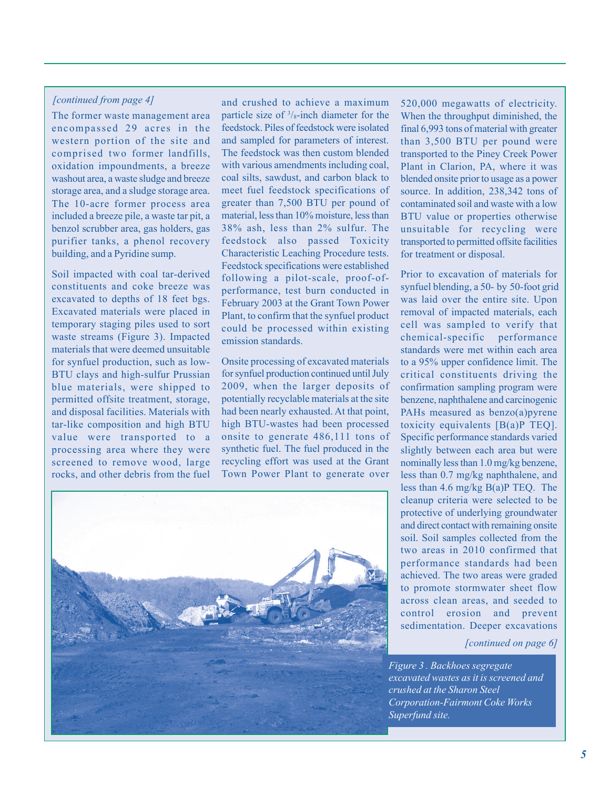## *[continued from page 4]*

The former waste management area encompassed 29 acres in the western portion of the site and comprised two former landfills, oxidation impoundments, a breeze washout area, a waste sludge and breeze storage area, and a sludge storage area. The 10-acre former process area included a breeze pile, a waste tar pit, a benzol scrubber area, gas holders, gas purifier tanks, a phenol recovery building, and a Pyridine sump.

Soil impacted with coal tar-derived constituents and coke breeze was excavated to depths of 18 feet bgs. Excavated materials were placed in temporary staging piles used to sort waste streams (Figure 3). Impacted materials that were deemed unsuitable for synfuel production, such as low-BTU clays and high-sulfur Prussian blue materials, were shipped to permitted offsite treatment, storage, and disposal facilities. Materials with tar-like composition and high BTU value were transported to a processing area where they were screened to remove wood, large rocks, and other debris from the fuel

and crushed to achieve a maximum particle size of  $\frac{3}{8}$ -inch diameter for the feedstock. Piles of feedstock were isolated and sampled for parameters of interest. The feedstock was then custom blended with various amendments including coal, coal silts, sawdust, and carbon black to meet fuel feedstock specifications of greater than 7,500 BTU per pound of material, less than 10% moisture, less than 38% ash, less than 2% sulfur. The feedstock also passed Toxicity Characteristic Leaching Procedure tests. Feedstock specifications were established following a pilot-scale, proof-ofperformance, test burn conducted in February 2003 at the Grant Town Power Plant, to confirm that the synfuel product could be processed within existing emission standards.

Onsite processing of excavated materials for synfuel production continued until July 2009, when the larger deposits of potentially recyclable materials at the site had been nearly exhausted. At that point, high BTU-wastes had been processed onsite to generate 486,111 tons of synthetic fuel. The fuel produced in the recycling effort was used at the Grant Town Power Plant to generate over

520,000 megawatts of electricity. When the throughput diminished, the final 6,993 tons of material with greater than 3,500 BTU per pound were transported to the Piney Creek Power Plant in Clarion, PA, where it was blended onsite prior to usage as a power source. In addition, 238,342 tons of contaminated soil and waste with a low BTU value or properties otherwise unsuitable for recycling were transported to permitted offsite facilities for treatment or disposal.

Prior to excavation of materials for synfuel blending, a 50- by 50-foot grid was laid over the entire site. Upon removal of impacted materials, each cell was sampled to verify that chemical-specific performance standards were met within each area to a 95% upper confidence limit. The critical constituents driving the confirmation sampling program were benzene, naphthalene and carcinogenic PAHs measured as benzo(a)pyrene toxicity equivalents [B(a)P TEQ]. Specific performance standards varied slightly between each area but were nominally less than 1.0 mg/kg benzene, less than 0.7 mg/kg naphthalene, and less than 4.6 mg/kg B(a)P TEQ. The cleanup criteria were selected to be protective of underlying groundwater and direct contact with remaining onsite soil. Soil samples collected from the two areas in 2010 confirmed that performance standards had been achieved. The two areas were graded to promote stormwater sheet flow across clean areas, and seeded to control erosion and prevent sedimentation. Deeper excavations

*[continued on page 6]* 

*Figure 3 . Backhoes segregate excavated wastes as it is screened and crushed at the Sharon Steel Corporation-Fairmont Coke Works Superfund site.*